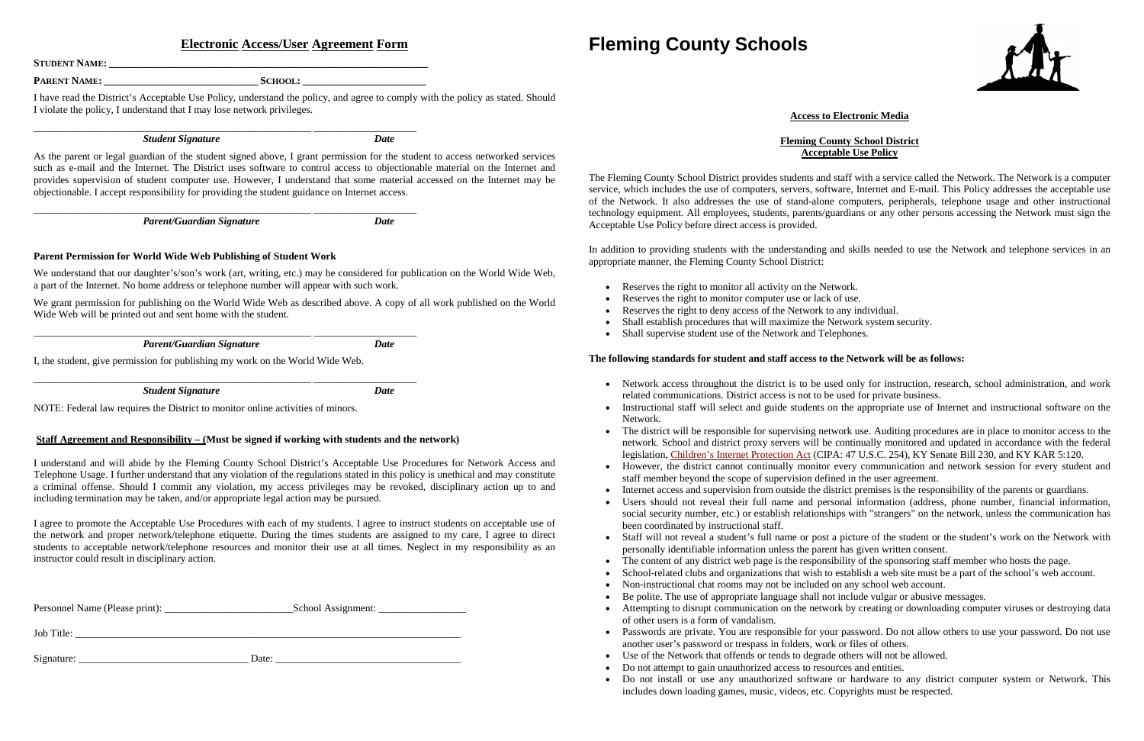# **Electronic Access/User Agreement Form**

**STUDENT NAME: \_\_\_\_\_\_\_\_\_\_\_\_\_\_\_\_\_\_\_\_\_\_\_\_\_\_\_\_\_\_\_\_\_\_\_\_\_\_\_\_\_\_\_\_\_\_\_\_\_\_\_\_\_\_\_\_\_\_\_\_\_\_**

**PARENT NAME: \_\_\_\_\_\_\_\_\_\_\_\_\_\_\_\_\_\_\_\_\_\_\_\_\_\_\_\_\_\_ SCHOOL: \_\_\_\_\_\_\_\_\_\_\_\_\_\_\_\_\_\_\_\_\_\_\_\_**

I have read the District's Acceptable Use Policy, understand the policy, and agree to comply with the policy as stated. Should I violate the policy, I understand that I may lose network privileges.

\_\_\_\_\_\_\_\_\_\_\_\_\_\_\_\_\_\_\_\_\_\_\_\_\_\_\_\_\_\_\_\_\_\_\_\_\_\_\_\_\_\_\_\_\_\_\_\_\_\_\_\_\_\_ \_\_\_\_\_\_\_\_\_\_\_\_\_\_\_\_\_\_\_\_

*Student Signature Date*

As the parent or legal guardian of the student signed above, I grant permission for the student to access networked services such as e-mail and the Internet. The District uses software to control access to objectionable material on the Internet and provides supervision of student computer use. However, I understand that some material accessed on the Internet may be objectionable. I accept responsibility for providing the student guidance on Internet access.

\_\_\_\_\_\_\_\_\_\_\_\_\_\_\_\_\_\_\_\_\_\_\_\_\_\_\_\_\_\_\_\_\_\_\_\_\_\_\_\_\_\_\_\_\_\_\_\_\_\_\_\_\_\_ \_\_\_\_\_\_\_\_\_\_\_\_\_\_\_\_\_\_\_\_

*Parent/Guardian Signature Date*

### **Parent Permission for World Wide Web Publishing of Student Work**

We understand that our daughter's/son's work (art, writing, etc.) may be considered for publication on the World Wide Web, a part of the Internet. No home address or telephone number will appear with such work.

We grant permission for publishing on the World Wide Web as described above. A copy of all work published on the World Wide Web will be printed out and sent home with the student.

\_\_\_\_\_\_\_\_\_\_\_\_\_\_\_\_\_\_\_\_\_\_\_\_\_\_\_\_\_\_\_\_\_\_\_\_\_\_\_\_\_\_\_\_\_\_\_\_\_\_\_\_\_\_ \_\_\_\_\_\_\_\_\_\_\_\_\_\_\_\_\_\_\_\_

*Parent/Guardian Signature Date*

I, the student, give permission for publishing my work on the World Wide Web.

\_\_\_\_\_\_\_\_\_\_\_\_\_\_\_\_\_\_\_\_\_\_\_\_\_\_\_\_\_\_\_\_\_\_\_\_\_\_\_\_\_\_\_\_\_\_\_\_\_\_\_\_\_\_ \_\_\_\_\_\_\_\_\_\_\_\_\_\_\_\_\_\_\_\_

*Student Signature Date*

NOTE: Federal law requires the District to monitor online activities of minors.

#### **Staff Agreement and Responsibility – (Must be signed if working with students and the network)**

- Reserves the right to monitor all activity on the Network.
- Reserves the right to monitor computer use or lack of use.
- Reserves the right to deny access of the Network to any individual.
- Shall establish procedures that will maximize the Network system security.
- Shall supervise student use of the Network and Telephones.

I understand and will abide by the Fleming County School District's Acceptable Use Procedures for Network Access and Telephone Usage. I further understand that any violation of the regulations stated in this policy is unethical and may constitute a criminal offense. Should I commit any violation, my access privileges may be revoked, disciplinary action up to and including termination may be taken, and/or appropriate legal action may be pursued.

I agree to promote the Acceptable Use Procedures with each of my students. I agree to instruct students on acceptable use of the network and proper network/telephone etiquette. During the times students are assigned to my care, I agree to direct students to acceptable network/telephone resources and monitor their use at all times. Neglect in my responsibility as an instructor could result in disciplinary action.

Personnel Name (Please print): \_\_\_\_\_\_\_\_\_\_\_\_\_\_\_\_\_\_\_\_\_\_\_\_\_School Assignment: \_\_\_\_\_\_\_\_\_\_\_\_\_\_\_\_\_

Job Title: \_\_\_\_\_\_\_\_\_\_\_\_\_\_\_\_\_\_\_\_\_\_\_\_\_\_\_\_\_\_\_\_\_\_\_\_\_\_\_\_\_\_\_\_\_\_\_\_\_\_\_\_\_\_\_\_\_\_\_\_\_\_\_\_\_\_\_\_\_\_\_\_\_\_\_

Signature: \_\_\_\_\_\_\_\_\_\_\_\_\_\_\_\_\_\_\_\_\_\_\_\_\_\_\_\_\_\_\_\_\_ Date: \_\_\_\_\_\_\_\_\_\_\_\_\_\_\_\_\_\_\_\_\_\_\_\_\_\_\_\_\_\_\_\_\_\_\_\_

# **Fleming County Schools**

# **Access to Electronic Media**

#### **Fleming County School District Acceptable Use Policy**

The Fleming County School District provides students and staff with a service called the Network. The Network is a computer service, which includes the use of computers, servers, software, Internet and E-mail. This Policy addresses the acceptable use of the Network. It also addresses the use of stand-alone computers, peripherals, telephone usage and other instructional technology equipment. All employees, students, parents/guardians or any other persons accessing the Network must sign the Acceptable Use Policy before direct access is provided.

In addition to providing students with the understanding and skills needed to use the Network and telephone services in an appropriate manner, the Fleming County School District:

## **The following standards for student and staff access to the Network will be as follows:**

• Network access throughout the district is to be used only for instruction, research, school administration, and work

• Instructional staff will select and guide students on the appropriate use of Internet and instructional software on the

• The district will be responsible for supervising network use. Auditing procedures are in place to monitor access to the network. School and district proxy servers will be continually monitored and updated in accordance with the federal legislation, [Children's Internet Protection Act](http://www.sl.universalservice.org/whatsnew/MISC/CIPA051801.asp) (CIPA: 47 U.S.C. 254), KY Senate Bill 230, and KY KAR 5:120.

• However, the district cannot continually monitor every communication and network session for every student and

• Internet access and supervision from outside the district premises is the responsibility of the parents or guardians.

• Users should not reveal their full name and personal information (address, phone number, financial information, social security number, etc.) or establish relationships with "strangers" on the network, unless the communication has

• Staff will not reveal a student's full name or post a picture of the student or the student's work on the Network with

School-related clubs and organizations that wish to establish a web site must be a part of the school's web account.

- related communications. District access is not to be used for private business.
- Network.
- 
- staff member beyond the scope of supervision defined in the user agreement.
- 
- been coordinated by instructional staff.
- personally identifiable information unless the parent has given written consent.
- The content of any district web page is the responsibility of the sponsoring staff member who hosts the page.
- 
- Non-instructional chat rooms may not be included on any school web account.
- Be polite. The use of appropriate language shall not include vulgar or abusive messages. • Attempting to disrupt communication on the network by creating or downloading computer viruses or destroying data of other users is a form of vandalism.
- another user's password or trespass in folders, work or files of others.
- Use of the Network that offends or tends to degrade others will not be allowed.
- Do not attempt to gain unauthorized access to resources and entities.
- includes down loading games, music, videos, etc. Copyrights must be respected.

• Passwords are private. You are responsible for your password. Do not allow others to use your password. Do not use

• Do not install or use any unauthorized software or hardware to any district computer system or Network. This